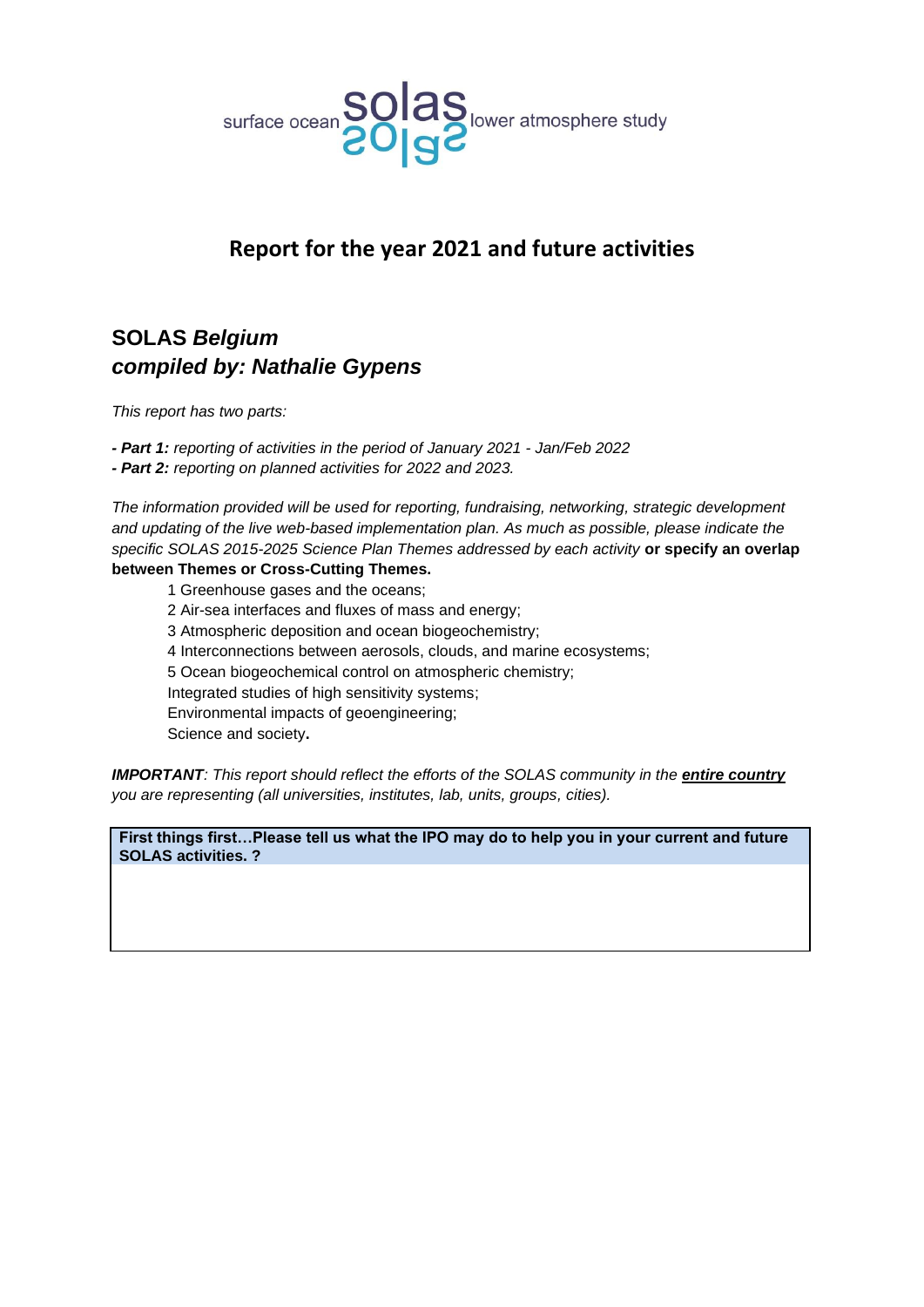

## **Report for the year 2021 and future activities**

# **SOLAS** *Belgium compiled by: Nathalie Gypens*

*This report has two parts:*

*- Part 1: reporting of activities in the period of January 2021 - Jan/Feb 2022*

*- Part 2: reporting on planned activities for 2022 and 2023.*

*The information provided will be used for reporting, fundraising, networking, strategic development and updating of the live web-based implementation plan. As much as possible, please indicate the specific SOLAS 2015-2025 Science Plan Themes addressed by each activity* **or specify an overlap** 

### **between Themes or Cross-Cutting Themes.**

- 1 Greenhouse gases and the oceans;
- 2 Air-sea interfaces and fluxes of mass and energy;
- 3 Atmospheric deposition and ocean biogeochemistry;
- 4 Interconnections between aerosols, clouds, and marine ecosystems;
- 5 Ocean biogeochemical control on atmospheric chemistry;

Integrated studies of high sensitivity systems;

Environmental impacts of geoengineering;

Science and society**.** 

*IMPORTANT: This report should reflect the efforts of the SOLAS community in the entire country you are representing (all universities, institutes, lab, units, groups, cities).*

**First things first…Please tell us what the IPO may do to help you in your current and future SOLAS activities. ?**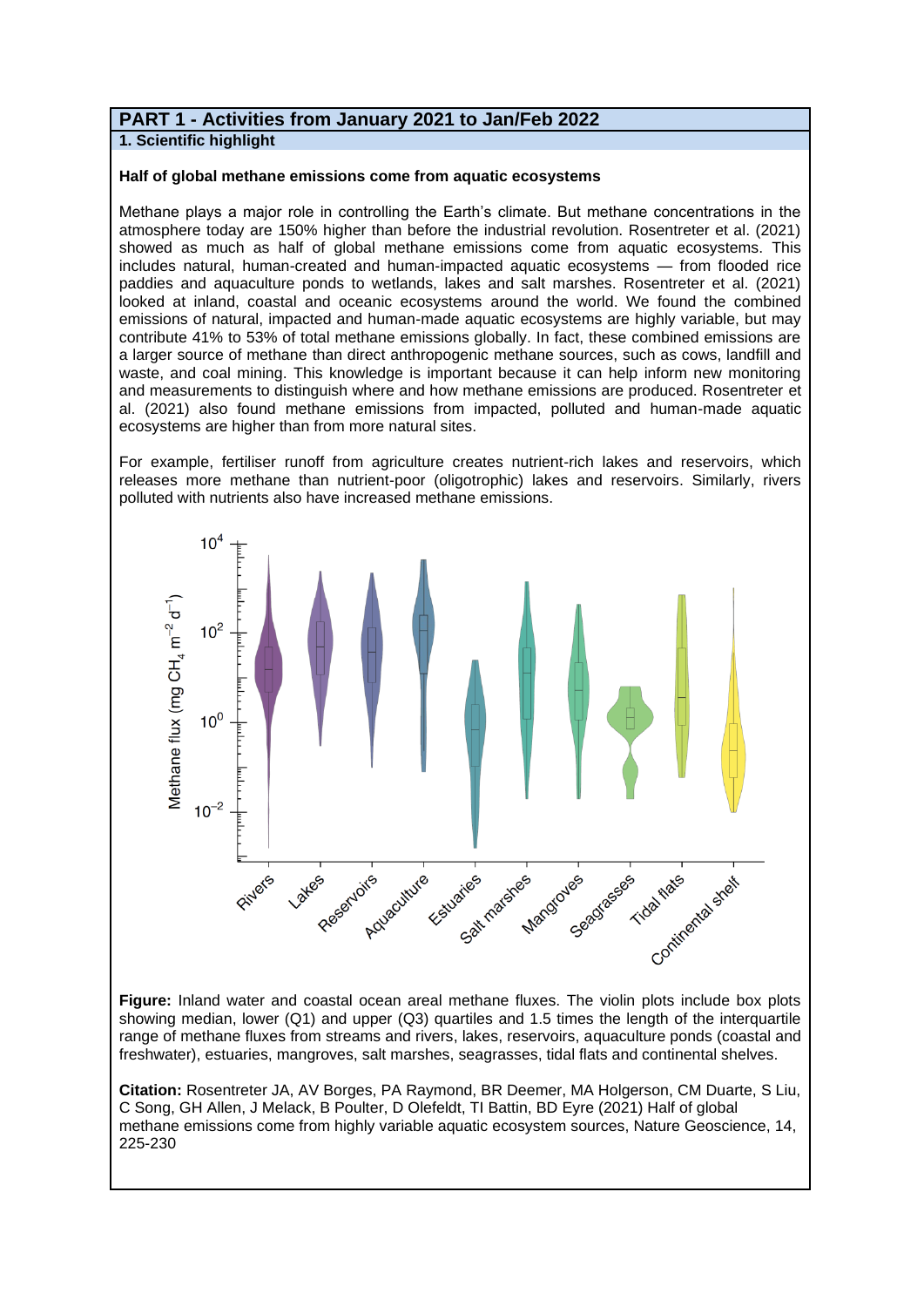### **PART 1 - Activities from January 2021 to Jan/Feb 2022**

**1. Scientific highlight**

#### **Half of global methane emissions come from aquatic ecosystems**

Methane plays a major role in controlling the Earth's climate. But methane concentrations in the atmosphere today are 150% higher than before the industrial revolution. Rosentreter et al. (2021) showed as much as half of global methane emissions come from aquatic ecosystems. This includes natural, human-created and human-impacted aquatic ecosystems — from flooded rice paddies and aquaculture ponds to wetlands, lakes and salt marshes. Rosentreter et al. (2021) looked at inland, coastal and oceanic ecosystems around the world. We found the combined emissions of natural, impacted and human-made aquatic ecosystems are highly variable, but may contribute 41% to 53% of total methane emissions globally. In fact, these combined emissions are a larger source of methane than direct anthropogenic methane sources, such as cows, landfill and waste, and coal mining. This knowledge is important because it can help inform new monitoring and measurements to distinguish where and how methane emissions are produced. Rosentreter et al. (2021) also found methane emissions from impacted, polluted and human-made aquatic ecosystems are higher than from more natural sites.

For example, fertiliser runoff from agriculture creates nutrient-rich lakes and reservoirs, which releases more methane than nutrient-poor (oligotrophic) lakes and reservoirs. Similarly, rivers polluted with nutrients also have increased methane emissions.



**Figure:** Inland water and coastal ocean areal methane fluxes. The violin plots include box plots showing median, lower (Q1) and upper (Q3) quartiles and 1.5 times the length of the interquartile range of methane fluxes from streams and rivers, lakes, reservoirs, aquaculture ponds (coastal and freshwater), estuaries, mangroves, salt marshes, seagrasses, tidal flats and continental shelves.

**Citation:** Rosentreter JA, AV Borges, PA Raymond, BR Deemer, MA Holgerson, CM Duarte, S Liu, C Song, GH Allen, J Melack, B Poulter, D Olefeldt, TI Battin, BD Eyre (2021) Half of global methane emissions come from highly variable aquatic ecosystem sources, Nature Geoscience, 14, 225-230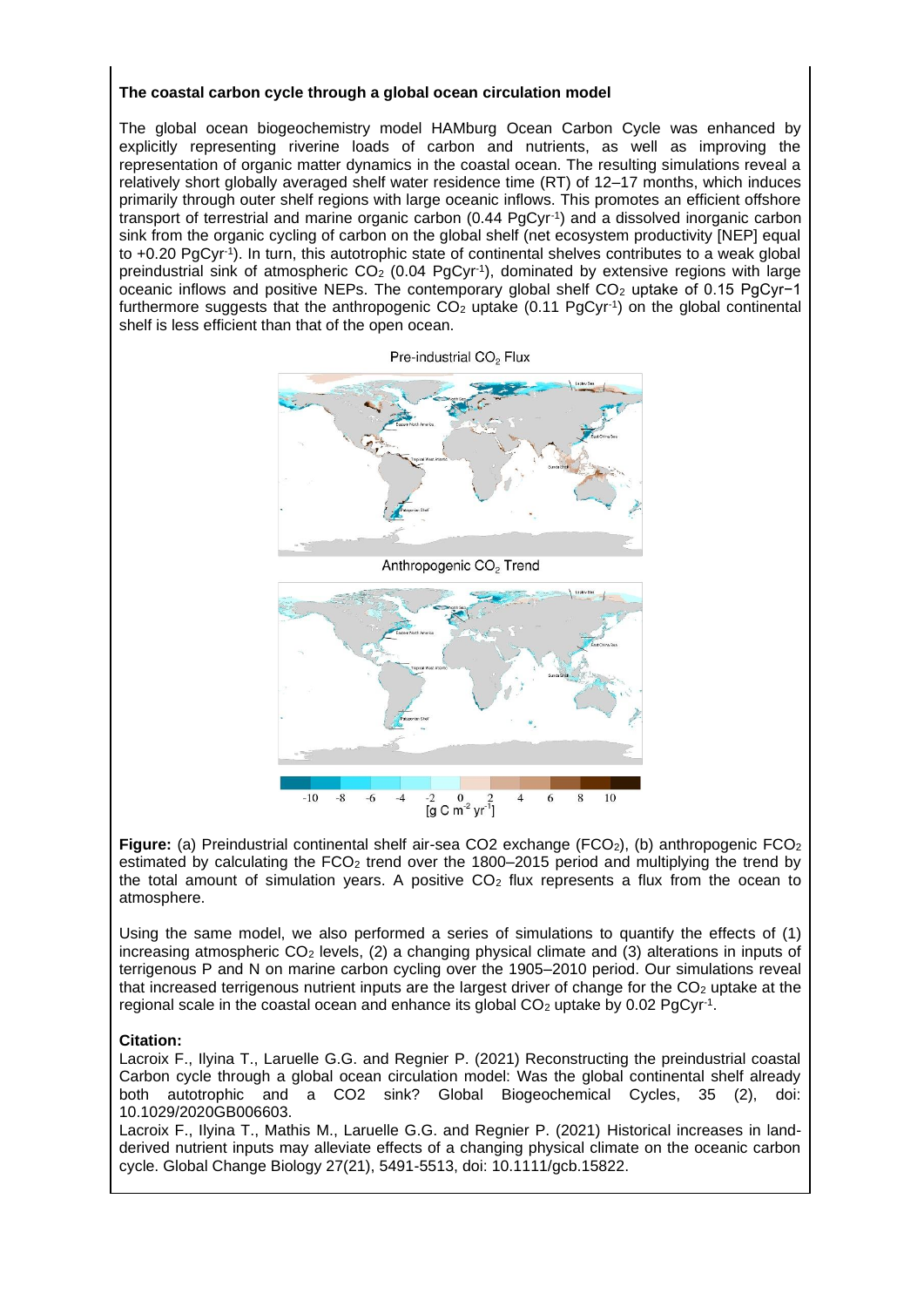#### **The coastal carbon cycle through a global ocean circulation model**

The global ocean biogeochemistry model HAMburg Ocean Carbon Cycle was enhanced by explicitly representing riverine loads of carbon and nutrients, as well as improving the representation of organic matter dynamics in the coastal ocean. The resulting simulations reveal a relatively short globally averaged shelf water residence time (RT) of 12–17 months, which induces primarily through outer shelf regions with large oceanic inflows. This promotes an efficient offshore transport of terrestrial and marine organic carbon (0.44 PgCyr<sup>-1</sup>) and a dissolved inorganic carbon sink from the organic cycling of carbon on the global shelf (net ecosystem productivity [NEP] equal to +0.20 PgCyr<sup>-1</sup>). In turn, this autotrophic state of continental shelves contributes to a weak global preindustrial sink of atmospheric  $CO<sub>2</sub>$  (0.04 PgCyr<sup>-1</sup>), dominated by extensive regions with large oceanic inflows and positive NEPs. The contemporary global shelf CO<sub>2</sub> uptake of 0.15 PgCyr-1 furthermore suggests that the anthropogenic  $CO<sub>2</sub>$  uptake (0.11 PgCyr<sup>-1</sup>) on the global continental shelf is less efficient than that of the open ocean.





**Figure:** (a) Preindustrial continental shelf air-sea CO2 exchange (FCO<sub>2</sub>), (b) anthropogenic FCO<sub>2</sub> estimated by calculating the FCO<sub>2</sub> trend over the 1800–2015 period and multiplying the trend by the total amount of simulation years. A positive  $CO<sub>2</sub>$  flux represents a flux from the ocean to atmosphere.

Using the same model, we also performed a series of simulations to quantify the effects of (1) increasing atmospheric  $CO<sub>2</sub>$  levels, (2) a changing physical climate and (3) alterations in inputs of terrigenous P and N on marine carbon cycling over the 1905–2010 period. Our simulations reveal that increased terrigenous nutrient inputs are the largest driver of change for the  $CO<sub>2</sub>$  uptake at the regional scale in the coastal ocean and enhance its global  $CO<sub>2</sub>$  uptake by 0.02 PgCyr<sup>-1</sup>.

#### **Citation:**

Lacroix F., Ilyina T., Laruelle G.G. and Regnier P. (2021) Reconstructing the preindustrial coastal Carbon cycle through a global ocean circulation model: Was the global continental shelf already both autotrophic and a CO2 sink? Global Biogeochemical Cycles, 35 (2), doi: 10.1029/2020GB006603.

Lacroix F., Ilyina T., Mathis M., Laruelle G.G. and Regnier P. (2021) Historical increases in landderived nutrient inputs may alleviate effects of a changing physical climate on the oceanic carbon cycle. Global Change Biology 27(21), 5491-5513, doi: 10.1111/gcb.15822.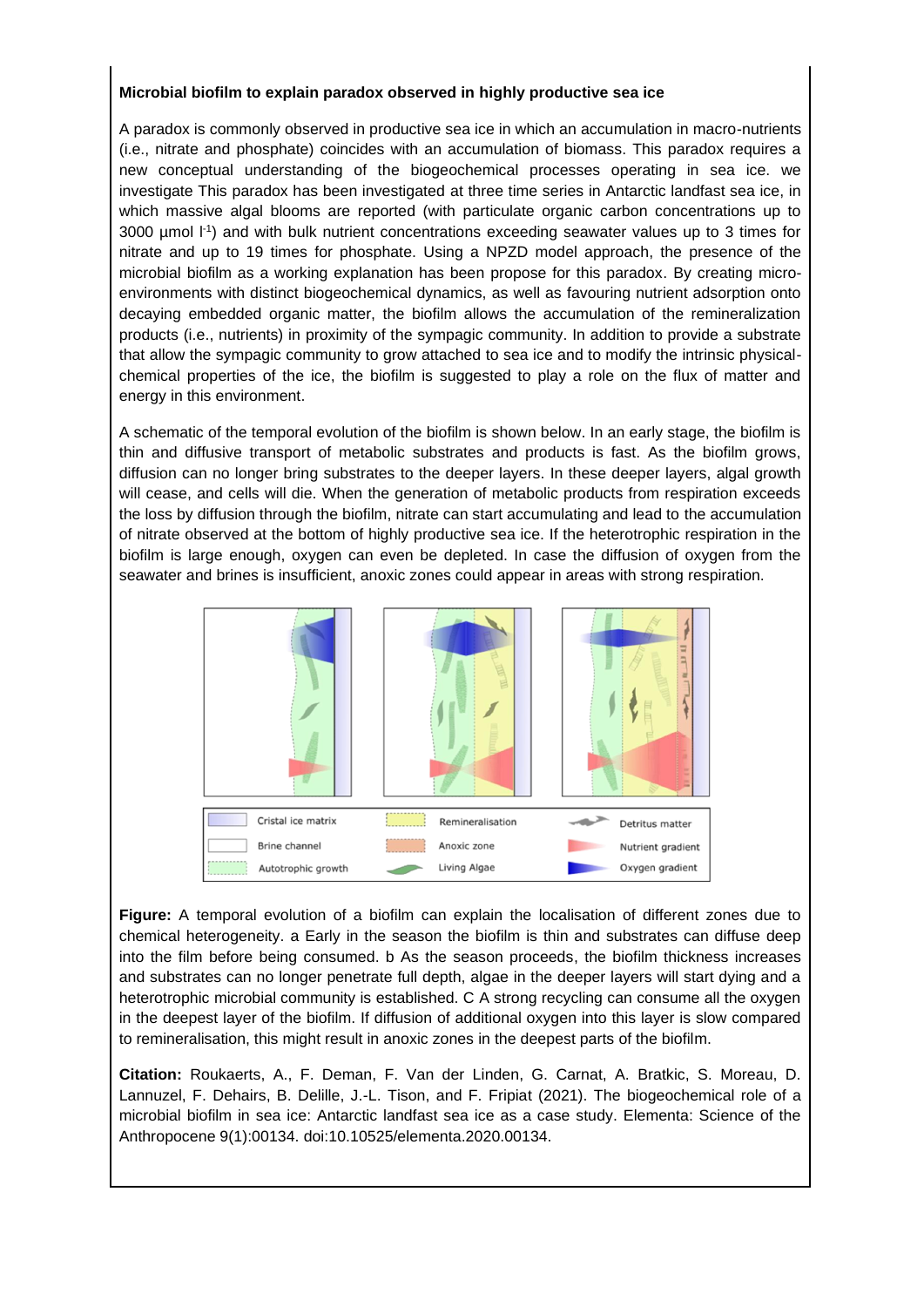#### **Microbial biofilm to explain paradox observed in highly productive sea ice**

A paradox is commonly observed in productive sea ice in which an accumulation in macro-nutrients (i.e., nitrate and phosphate) coincides with an accumulation of biomass. This paradox requires a new conceptual understanding of the biogeochemical processes operating in sea ice. we investigate This paradox has been investigated at three time series in Antarctic landfast sea ice, in which massive algal blooms are reported (with particulate organic carbon concentrations up to  $3000$  µmol  $\lfloor$ <sup>1</sup>) and with bulk nutrient concentrations exceeding seawater values up to 3 times for nitrate and up to 19 times for phosphate. Using a NPZD model approach, the presence of the microbial biofilm as a working explanation has been propose for this paradox. By creating microenvironments with distinct biogeochemical dynamics, as well as favouring nutrient adsorption onto decaying embedded organic matter, the biofilm allows the accumulation of the remineralization products (i.e., nutrients) in proximity of the sympagic community. In addition to provide a substrate that allow the sympagic community to grow attached to sea ice and to modify the intrinsic physicalchemical properties of the ice, the biofilm is suggested to play a role on the flux of matter and energy in this environment.

A schematic of the temporal evolution of the biofilm is shown below. In an early stage, the biofilm is thin and diffusive transport of metabolic substrates and products is fast. As the biofilm grows, diffusion can no longer bring substrates to the deeper layers. In these deeper layers, algal growth will cease, and cells will die. When the generation of metabolic products from respiration exceeds the loss by diffusion through the biofilm, nitrate can start accumulating and lead to the accumulation of nitrate observed at the bottom of highly productive sea ice. If the heterotrophic respiration in the biofilm is large enough, oxygen can even be depleted. In case the diffusion of oxygen from the seawater and brines is insufficient, anoxic zones could appear in areas with strong respiration.



**Figure:** A temporal evolution of a biofilm can explain the localisation of different zones due to chemical heterogeneity. a Early in the season the biofilm is thin and substrates can diffuse deep into the film before being consumed. b As the season proceeds, the biofilm thickness increases and substrates can no longer penetrate full depth, algae in the deeper layers will start dying and a heterotrophic microbial community is established. C A strong recycling can consume all the oxygen in the deepest layer of the biofilm. If diffusion of additional oxygen into this layer is slow compared to remineralisation, this might result in anoxic zones in the deepest parts of the biofilm.

**Citation:** Roukaerts, A., F. Deman, F. Van der Linden, G. Carnat, A. Bratkic, S. Moreau, D. Lannuzel, F. Dehairs, B. Delille, J.-L. Tison, and F. Fripiat (2021). The biogeochemical role of a microbial biofilm in sea ice: Antarctic landfast sea ice as a case study. Elementa: Science of the Anthropocene 9(1):00134. doi:10.10525/elementa.2020.00134.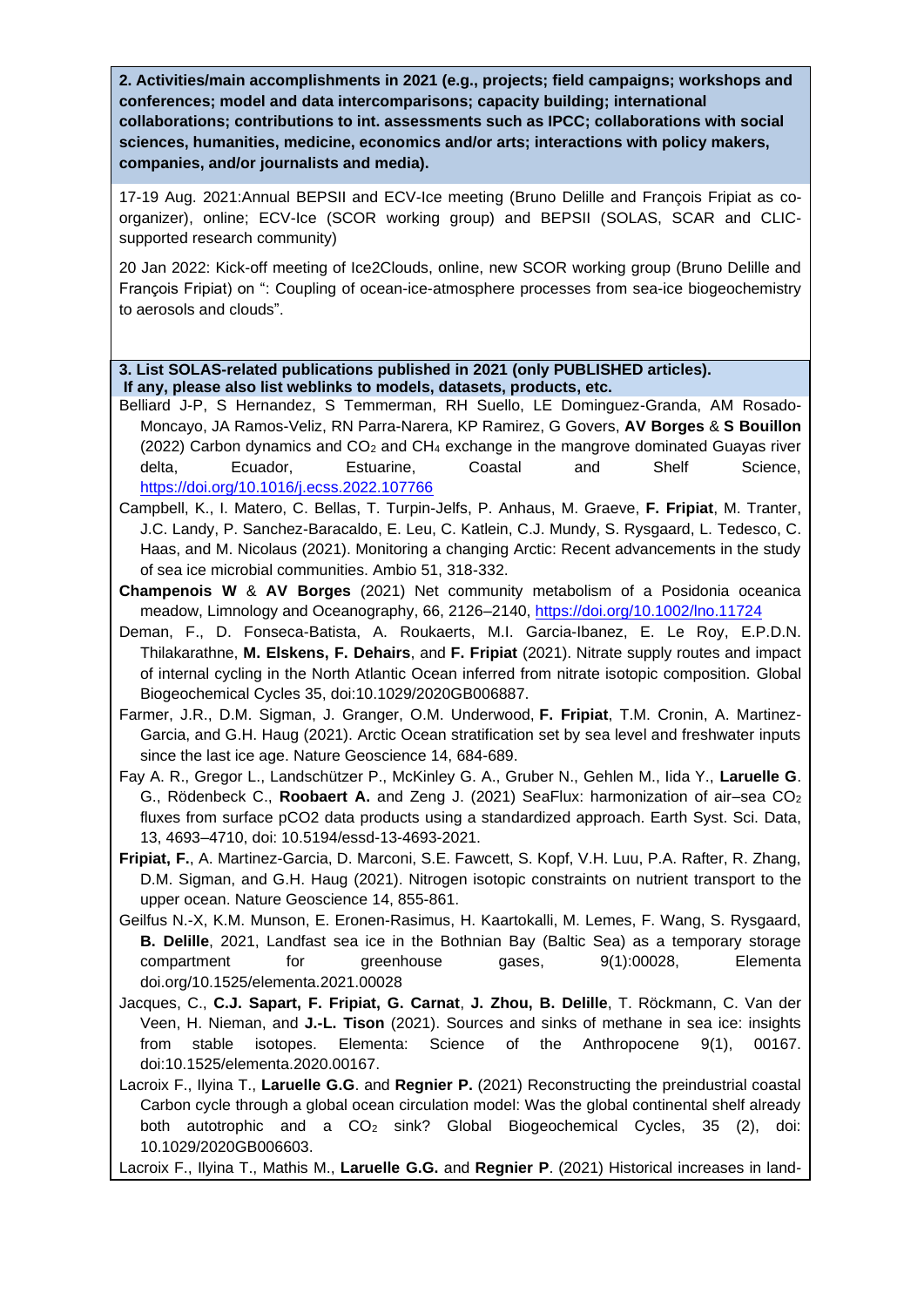**2. Activities/main accomplishments in 2021 (e.g., projects; field campaigns; workshops and conferences; model and data intercomparisons; capacity building; international collaborations; contributions to int. assessments such as IPCC; collaborations with social sciences, humanities, medicine, economics and/or arts; interactions with policy makers, companies, and/or journalists and media).**

17-19 Aug. 2021:Annual BEPSII and ECV-Ice meeting (Bruno Delille and François Fripiat as coorganizer), online; ECV-Ice (SCOR working group) and BEPSII (SOLAS, SCAR and CLICsupported research community)

20 Jan 2022: Kick-off meeting of Ice2Clouds, online, new SCOR working group (Bruno Delille and François Fripiat) on ": Coupling of ocean-ice-atmosphere processes from sea-ice biogeochemistry to aerosols and clouds".

**3. List SOLAS-related publications published in 2021 (only PUBLISHED articles). If any, please also list weblinks to models, datasets, products, etc.** 

- Belliard J-P, S Hernandez, S Temmerman, RH Suello, LE Dominguez-Granda, AM Rosado-Moncayo, JA Ramos-Veliz, RN Parra-Narera, KP Ramirez, G Govers, **AV Borges** & **S Bouillon** (2022) Carbon dynamics and  $CO<sub>2</sub>$  and  $CH<sub>4</sub>$  exchange in the mangrove dominated Guayas river delta, Ecuador, Estuarine, Coastal and Shelf Science, <https://doi.org/10.1016/j.ecss.2022.107766>
- Campbell, K., I. Matero, C. Bellas, T. Turpin-Jelfs, P. Anhaus, M. Graeve, **F. Fripiat**, M. Tranter, J.C. Landy, P. Sanchez-Baracaldo, E. Leu, C. Katlein, C.J. Mundy, S. Rysgaard, L. Tedesco, C. Haas, and M. Nicolaus (2021). Monitoring a changing Arctic: Recent advancements in the study of sea ice microbial communities. Ambio 51, 318-332.
- **Champenois W** & **AV Borges** (2021) Net community metabolism of a Posidonia oceanica meadow, Limnology and Oceanography, 66, 2126–2140,<https://doi.org/10.1002/lno.11724>
- Deman, F., D. Fonseca-Batista, A. Roukaerts, M.I. Garcia-Ibanez, E. Le Roy, E.P.D.N. Thilakarathne, **M. Elskens, F. Dehairs**, and **F. Fripiat** (2021). Nitrate supply routes and impact of internal cycling in the North Atlantic Ocean inferred from nitrate isotopic composition. Global Biogeochemical Cycles 35, doi:10.1029/2020GB006887.
- Farmer, J.R., D.M. Sigman, J. Granger, O.M. Underwood, **F. Fripiat**, T.M. Cronin, A. Martinez-Garcia, and G.H. Haug (2021). Arctic Ocean stratification set by sea level and freshwater inputs since the last ice age. Nature Geoscience 14, 684-689.
- Fay A. R., Gregor L., Landschützer P., McKinley G. A., Gruber N., Gehlen M., Iida Y., **Laruelle G**. G., Rödenbeck C., **Roobaert A.** and Zeng J. (2021) SeaFlux: harmonization of air–sea CO<sub>2</sub> fluxes from surface pCO2 data products using a standardized approach. Earth Syst. Sci. Data, 13, 4693–4710, doi: 10.5194/essd-13-4693-2021.
- **Fripiat, F.**, A. Martinez-Garcia, D. Marconi, S.E. Fawcett, S. Kopf, V.H. Luu, P.A. Rafter, R. Zhang, D.M. Sigman, and G.H. Haug (2021). Nitrogen isotopic constraints on nutrient transport to the upper ocean. Nature Geoscience 14, 855-861.
- Geilfus N.-X, K.M. Munson, E. Eronen-Rasimus, H. Kaartokalli, M. Lemes, F. Wang, S. Rysgaard, **B. Delille**, 2021, Landfast sea ice in the Bothnian Bay (Baltic Sea) as a temporary storage compartment for greenhouse gases, 9(1):00028, Elementa doi.org/10.1525/elementa.2021.00028
- Jacques, C., **C.J. Sapart, F. Fripiat, G. Carnat**, **J. Zhou, B. Delille**, T. Röckmann, C. Van der Veen, H. Nieman, and **J.-L. Tison** (2021). Sources and sinks of methane in sea ice: insights from stable isotopes. Elementa: Science of the Anthropocene 9(1), 00167. doi:10.1525/elementa.2020.00167.
- Lacroix F., Ilyina T., **Laruelle G.G**. and **Regnier P.** (2021) Reconstructing the preindustrial coastal Carbon cycle through a global ocean circulation model: Was the global continental shelf already both autotrophic and a CO<sub>2</sub> sink? Global Biogeochemical Cycles, 35 (2), doi: 10.1029/2020GB006603.

Lacroix F., Ilyina T., Mathis M., **Laruelle G.G.** and **Regnier P**. (2021) Historical increases in land-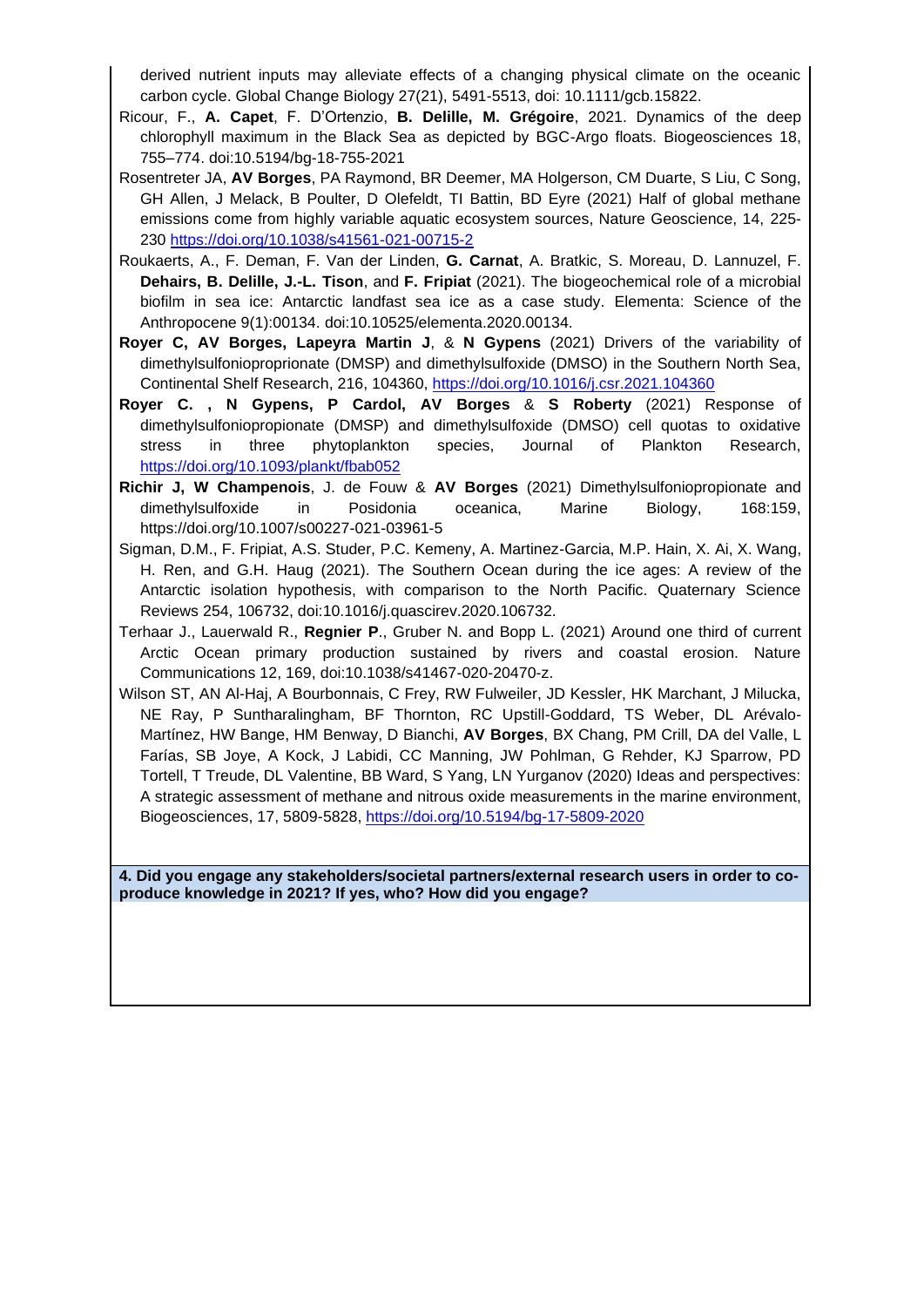derived nutrient inputs may alleviate effects of a changing physical climate on the oceanic carbon cycle. Global Change Biology 27(21), 5491-5513, doi: 10.1111/gcb.15822.

- Ricour, F., **A. Capet**, F. D'Ortenzio, **B. Delille, M. Grégoire**, 2021. Dynamics of the deep chlorophyll maximum in the Black Sea as depicted by BGC-Argo floats. Biogeosciences 18, 755–774. doi:10.5194/bg-18-755-2021
- Rosentreter JA, **AV Borges**, PA Raymond, BR Deemer, MA Holgerson, CM Duarte, S Liu, C Song, GH Allen, J Melack, B Poulter, D Olefeldt, TI Battin, BD Eyre (2021) Half of global methane emissions come from highly variable aquatic ecosystem sources, Nature Geoscience, 14, 225- 230<https://doi.org/10.1038/s41561-021-00715-2>
- Roukaerts, A., F. Deman, F. Van der Linden, **G. Carnat**, A. Bratkic, S. Moreau, D. Lannuzel, F. **Dehairs, B. Delille, J.-L. Tison**, and **F. Fripiat** (2021). The biogeochemical role of a microbial biofilm in sea ice: Antarctic landfast sea ice as a case study. Elementa: Science of the Anthropocene 9(1):00134. doi:10.10525/elementa.2020.00134.
- **Royer C, AV Borges, Lapeyra Martin J**, & **N Gypens** (2021) Drivers of the variability of dimethylsulfonioproprionate (DMSP) and dimethylsulfoxide (DMSO) in the Southern North Sea, Continental Shelf Research, 216, 104360,<https://doi.org/10.1016/j.csr.2021.104360>
- **Royer C. , N Gypens, P Cardol, AV Borges** & **S Roberty** (2021) Response of dimethylsulfoniopropionate (DMSP) and dimethylsulfoxide (DMSO) cell quotas to oxidative stress in three phytoplankton species, Journal of Plankton Research, <https://doi.org/10.1093/plankt/fbab052>
- **Richir J, W Champenois**, J. de Fouw & **AV Borges** (2021) Dimethylsulfoniopropionate and dimethylsulfoxide in Posidonia oceanica, Marine Biology, 168:159, https://doi.org/10.1007/s00227-021-03961-5
- Sigman, D.M., F. Fripiat, A.S. Studer, P.C. Kemeny, A. Martinez-Garcia, M.P. Hain, X. Ai, X. Wang, H. Ren, and G.H. Haug (2021). The Southern Ocean during the ice ages: A review of the Antarctic isolation hypothesis, with comparison to the North Pacific. Quaternary Science Reviews 254, 106732, doi:10.1016/j.quascirev.2020.106732.
- Terhaar J., Lauerwald R., **Regnier P**., Gruber N. and Bopp L. (2021) Around one third of current Arctic Ocean primary production sustained by rivers and coastal erosion. Nature Communications 12, 169, doi:10.1038/s41467-020-20470-z.
- Wilson ST, AN Al-Haj, A Bourbonnais, C Frey, RW Fulweiler, JD Kessler, HK Marchant, J Milucka, NE Ray, P Suntharalingham, BF Thornton, RC Upstill-Goddard, TS Weber, DL Arévalo-Martínez, HW Bange, HM Benway, D Bianchi, **AV Borges**, BX Chang, PM Crill, DA del Valle, L Farías, SB Joye, A Kock, J Labidi, CC Manning, JW Pohlman, G Rehder, KJ Sparrow, PD Tortell, T Treude, DL Valentine, BB Ward, S Yang, LN Yurganov (2020) Ideas and perspectives: A strategic assessment of methane and nitrous oxide measurements in the marine environment, Biogeosciences, 17, 5809-5828,<https://doi.org/10.5194/bg-17-5809-2020>

**4. Did you engage any stakeholders/societal partners/external research users in order to coproduce knowledge in 2021? If yes, who? How did you engage?**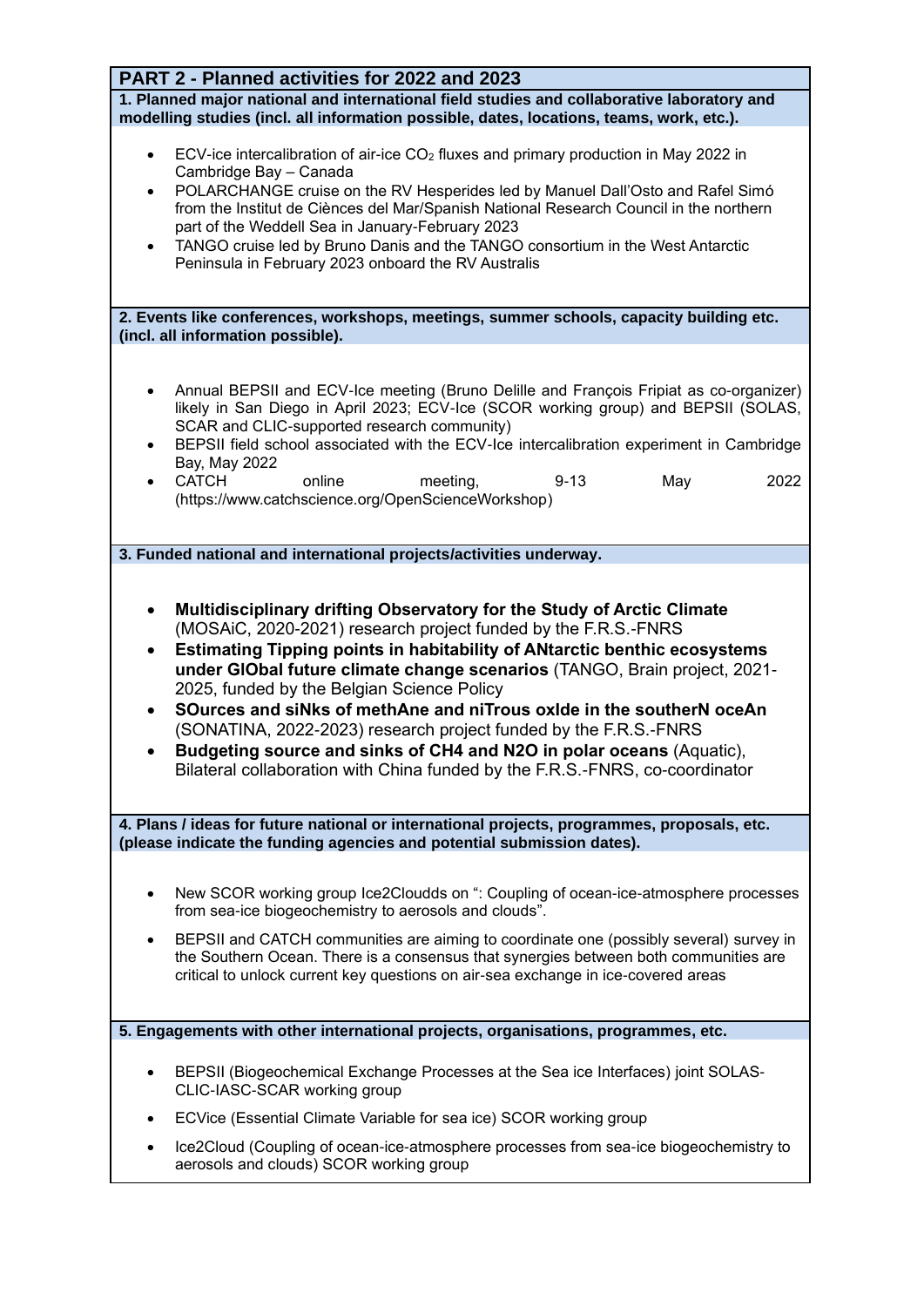| PART 2 - Planned activities for 2022 and 2023                                                                                                                                                                                                                                                                                                                                                                                                                                                                                                                                                                                                                                                                   |
|-----------------------------------------------------------------------------------------------------------------------------------------------------------------------------------------------------------------------------------------------------------------------------------------------------------------------------------------------------------------------------------------------------------------------------------------------------------------------------------------------------------------------------------------------------------------------------------------------------------------------------------------------------------------------------------------------------------------|
| 1. Planned major national and international field studies and collaborative laboratory and<br>modelling studies (incl. all information possible, dates, locations, teams, work, etc.).                                                                                                                                                                                                                                                                                                                                                                                                                                                                                                                          |
| ECV-ice intercalibration of air-ice CO <sub>2</sub> fluxes and primary production in May 2022 in<br>$\bullet$<br>Cambridge Bay - Canada<br>POLARCHANGE cruise on the RV Hesperides led by Manuel Dall'Osto and Rafel Simó<br>$\bullet$<br>from the Institut de Ciènces del Mar/Spanish National Research Council in the northern<br>part of the Weddell Sea in January-February 2023<br>TANGO cruise led by Bruno Danis and the TANGO consortium in the West Antarctic<br>$\bullet$<br>Peninsula in February 2023 onboard the RV Australis                                                                                                                                                                      |
| 2. Events like conferences, workshops, meetings, summer schools, capacity building etc.<br>(incl. all information possible).                                                                                                                                                                                                                                                                                                                                                                                                                                                                                                                                                                                    |
| Annual BEPSII and ECV-Ice meeting (Bruno Delille and François Fripiat as co-organizer)<br>$\bullet$<br>likely in San Diego in April 2023; ECV-Ice (SCOR working group) and BEPSII (SOLAS,<br>SCAR and CLIC-supported research community)<br>BEPSII field school associated with the ECV-Ice intercalibration experiment in Cambridge<br>$\bullet$<br>Bay, May 2022<br><b>CATCH</b><br>online<br>May<br>2022<br>meeting,<br>$9 - 13$<br>$\bullet$<br>(https://www.catchscience.org/OpenScienceWorkshop)                                                                                                                                                                                                          |
| 3. Funded national and international projects/activities underway.                                                                                                                                                                                                                                                                                                                                                                                                                                                                                                                                                                                                                                              |
| Multidisciplinary drifting Observatory for the Study of Arctic Climate<br>$\bullet$<br>(MOSAiC, 2020-2021) research project funded by the F.R.S.-FNRS<br><b>Estimating Tipping points in habitability of ANtarctic benthic ecosystems</b><br>$\bullet$<br>under GIObal future climate change scenarios (TANGO, Brain project, 2021-<br>2025, funded by the Belgian Science Policy<br>SOurces and siNks of methAne and niTrous oxide in the southerN oceAn<br>$\bullet$<br>(SONATINA, 2022-2023) research project funded by the F.R.S.-FNRS<br>Budgeting source and sinks of CH4 and N2O in polar oceans (Aquatic),<br>$\bullet$<br>Bilateral collaboration with China funded by the F.R.S.-FNRS, co-coordinator |
| 4. Plans / ideas for future national or international projects, programmes, proposals, etc.<br>(please indicate the funding agencies and potential submission dates).                                                                                                                                                                                                                                                                                                                                                                                                                                                                                                                                           |
| New SCOR working group Ice2Cloudds on ": Coupling of ocean-ice-atmosphere processes<br>٠<br>from sea-ice biogeochemistry to aerosols and clouds".<br>BEPSII and CATCH communities are aiming to coordinate one (possibly several) survey in<br>$\bullet$<br>the Southern Ocean. There is a consensus that synergies between both communities are<br>critical to unlock current key questions on air-sea exchange in ice-covered areas                                                                                                                                                                                                                                                                           |
| 5. Engagements with other international projects, organisations, programmes, etc.                                                                                                                                                                                                                                                                                                                                                                                                                                                                                                                                                                                                                               |
| BEPSII (Biogeochemical Exchange Processes at the Sea ice Interfaces) joint SOLAS-<br>٠<br>CLIC-IASC-SCAR working group<br>ECVice (Essential Climate Variable for sea ice) SCOR working group<br>$\bullet$                                                                                                                                                                                                                                                                                                                                                                                                                                                                                                       |
| Ice2Cloud (Coupling of ocean-ice-atmosphere processes from sea-ice biogeochemistry to<br>aerosols and clouds) SCOR working group                                                                                                                                                                                                                                                                                                                                                                                                                                                                                                                                                                                |